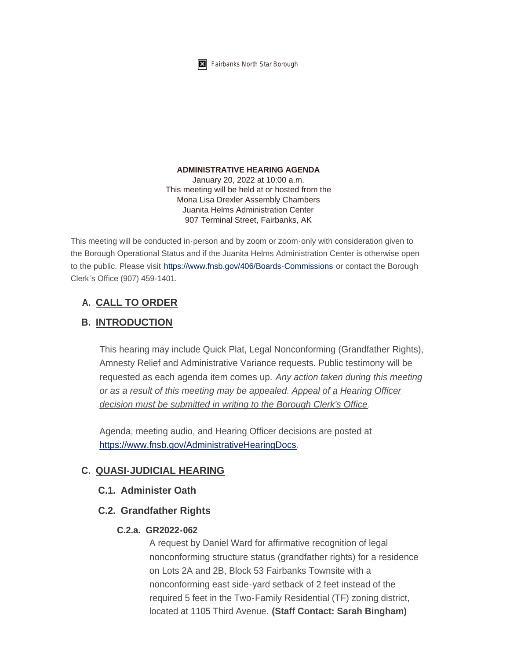

#### **ADMINISTRATIVE HEARING AGENDA**

January 20, 2022 at 10:00 a.m. This meeting will be held at or hosted from the Mona Lisa Drexler Assembly Chambers Juanita Helms Administration Center 907 Terminal Street, Fairbanks, AK

This meeting will be conducted in-person and by zoom or zoom-only with consideration given to the Borough Operational Status and if the Juanita Helms Administration Center is otherwise open to the public. Please visit <https://www.fnsb.gov/406/Boards-Commissions>or contact the Borough Clerk's Office (907) 459-1401.

# **CALL TO ORDER A.**

# **INTRODUCTION B.**

This hearing may include Quick Plat, Legal Nonconforming (Grandfather Rights), Amnesty Relief and Administrative Variance requests. Public testimony will be requested as each agenda item comes up. *Any action taken during this meeting or as a result of this meeting may be appealed*. *Appeal of a Hearing Officer decision must be submitted in writing to the Borough Clerk's Office*.

[Agenda, meeting audio, and Hearing Officer decis](https://www.fnsb.gov/AdministrativeHearingDocs)ions are posted at https://www.fnsb.gov/AdministrativeHearingDocs.

## **QUASI-JUDICIAL HEARING C.**

## **Administer Oath C.1.**

## **Grandfather Rights C.2.**

## **GR2022-062 C.2.a.**

A request by Daniel Ward for affirmative recognition of legal nonconforming structure status (grandfather rights) for a residence on Lots 2A and 2B, Block 53 Fairbanks Townsite with a nonconforming east side-yard setback of 2 feet instead of the required 5 feet in the Two-Family Residential (TF) zoning district, located at 1105 Third Avenue. **(Staff Contact: Sarah Bingham)**